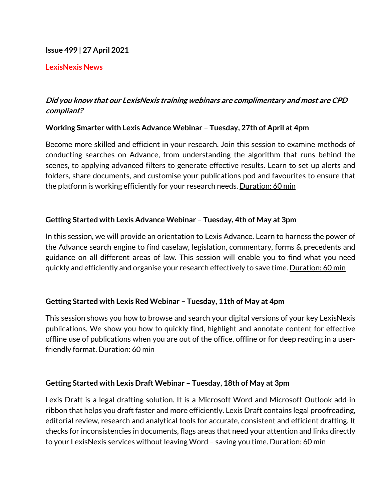#### **Issue 499 | 27 April 2021**

#### **LexisNexis News**

# **Did you know that our LexisNexis training webinars are complimentary and most are CPD compliant?**

#### **Working Smarter with Lexis Advance Webinar – Tuesday, 27th of April at 4pm**

Become more skilled and efficient in your research. Join this session to examine methods of conducting searches on Advance, from understanding the algorithm that runs behind the scenes, to applying advanced filters to generate effective results. Learn to set up alerts and folders, share documents, and customise your publications pod and favourites to ensure that the platform is working efficiently for your research needs. Duration: 60 min

### **Getting Started with Lexis Advance Webinar – Tuesday, 4th of May at 3pm**

In this session, we will provide an orientation to Lexis Advance. Learn to harness the power of the Advance search engine to find caselaw, legislation, commentary, forms & precedents and guidance on all different areas of law. This session will enable you to find what you need quickly and efficiently and organise your research effectively to save time. Duration: 60 min

### **Getting Started with Lexis Red Webinar – Tuesday, 11th of May at 4pm**

This session shows you how to browse and search your digital versions of your key LexisNexis publications. We show you how to quickly find, highlight and annotate content for effective offline use of publications when you are out of the office, offline or for deep reading in a userfriendly format. Duration: 60 min

### **Getting Started with Lexis Draft Webinar – Tuesday, 18th of May at 3pm**

Lexis Draft is a legal drafting solution. It is a Microsoft Word and Microsoft Outlook add-in ribbon that helps you draft faster and more efficiently. Lexis Draft contains legal proofreading, editorial review, research and analytical tools for accurate, consistent and efficient drafting. It checks for inconsistencies in documents, flags areas that need your attention and links directly to your LexisNexis services without leaving Word – saving you time. <u>Duration: 60 min</u>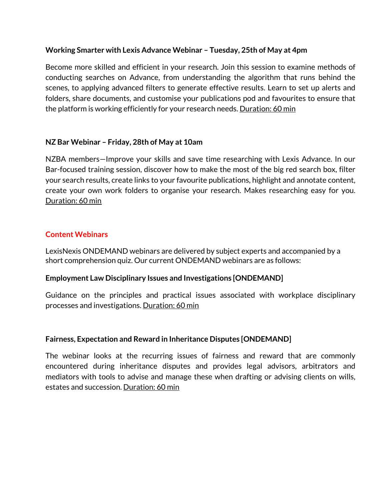### **Working Smarter with Lexis Advance Webinar – Tuesday, 25th of May at 4pm**

Become more skilled and efficient in your research. Join this session to examine methods of conducting searches on Advance, from understanding the algorithm that runs behind the scenes, to applying advanced filters to generate effective results. Learn to set up alerts and folders, share documents, and customise your publications pod and favourites to ensure that the platform is working efficiently for your research needs. Duration: 60 min

### **NZ Bar Webinar – Friday, 28th of May at 10am**

NZBA members—Improve your skills and save time researching with Lexis Advance. In our Bar-focused training session, discover how to make the most of the big red search box, filter your search results, create links to your favourite publications, highlight and annotate content, create your own work folders to organise your research. Makes researching easy for you. Duration: 60 min

#### **Content Webinars**

LexisNexis ONDEMAND webinars are delivered by subject experts and accompanied by a short comprehension quiz. Our current ONDEMAND webinars are as follows:

#### **Employment Law Disciplinary Issues and Investigations [ONDEMAND]**

Guidance on the principles and practical issues associated with workplace disciplinary processes and investigations. Duration: 60 min

#### **Fairness, Expectation and Reward in Inheritance Disputes [ONDEMAND]**

The webinar looks at the recurring issues of fairness and reward that are commonly encountered during inheritance disputes and provides legal advisors, arbitrators and mediators with tools to advise and manage these when drafting or advising clients on wills, estates and succession. Duration: 60 min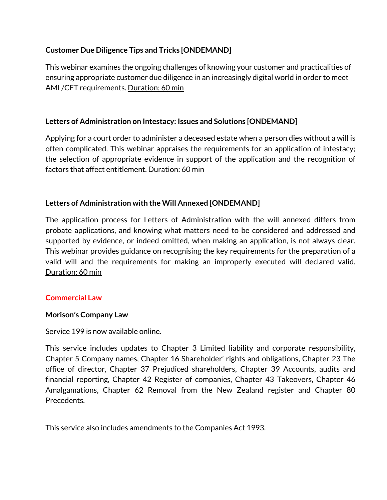# **Customer Due Diligence Tips and Tricks [ONDEMAND]**

This webinar examines the ongoing challenges of knowing your customer and practicalities of ensuring appropriate customer due diligence in an increasingly digital world in order to meet AML/CFT requirements. Duration: 60 min

# **Letters of Administration on Intestacy: Issues and Solutions [ONDEMAND]**

Applying for a court order to administer a deceased estate when a person dies without a will is often complicated. This webinar appraises the requirements for an application of intestacy; the selection of appropriate evidence in support of the application and the recognition of factors that affect entitlement. Duration: 60 min

# **Letters of Administration with the Will Annexed [ONDEMAND]**

The application process for Letters of Administration with the will annexed differs from probate applications, and knowing what matters need to be considered and addressed and supported by evidence, or indeed omitted, when making an application, is not always clear. This webinar provides guidance on recognising the key requirements for the preparation of a valid will and the requirements for making an improperly executed will declared valid. Duration: 60 min

### **Commercial Law**

### **Morison's Company Law**

Service 199 is now available online.

This service includes updates to Chapter 3 Limited liability and corporate responsibility, Chapter 5 Company names, Chapter 16 Shareholder' rights and obligations, Chapter 23 The office of director, Chapter 37 Prejudiced shareholders, Chapter 39 Accounts, audits and financial reporting, Chapter 42 Register of companies, Chapter 43 Takeovers, Chapter 46 Amalgamations, Chapter 62 Removal from the New Zealand register and Chapter 80 Precedents.

This service also includes amendments to the Companies Act 1993.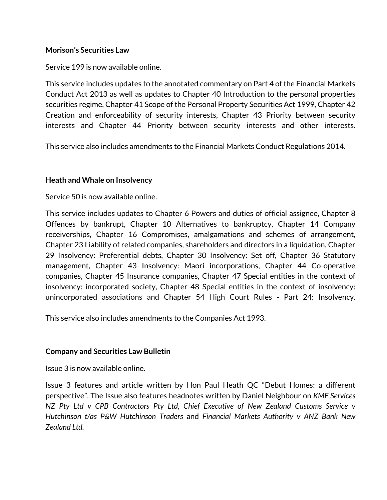#### **Morison's Securities Law**

Service 199 is now available online.

This service includes updates to the annotated commentary on Part 4 of the Financial Markets Conduct Act 2013 as well as updates to Chapter 40 Introduction to the personal properties securities regime, Chapter 41 Scope of the Personal Property Securities Act 1999, Chapter 42 Creation and enforceability of security interests, Chapter 43 Priority between security interests and Chapter 44 Priority between security interests and other interests.

This service also includes amendments to the Financial Markets Conduct Regulations 2014.

### **Heath and Whale on Insolvency**

Service 50 is now available online.

This service includes updates to Chapter 6 Powers and duties of official assignee, Chapter 8 Offences by bankrupt, Chapter 10 Alternatives to bankruptcy, Chapter 14 Company receiverships, Chapter 16 Compromises, amalgamations and schemes of arrangement, Chapter 23 Liability of related companies, shareholders and directors in a liquidation, Chapter 29 Insolvency: Preferential debts, Chapter 30 Insolvency: Set off, Chapter 36 Statutory management, Chapter 43 Insolvency: Maori incorporations, Chapter 44 Co-operative companies, Chapter 45 Insurance companies, Chapter 47 Special entities in the context of insolvency: incorporated society, Chapter 48 Special entities in the context of insolvency: unincorporated associations and Chapter 54 High Court Rules - Part 24: Insolvency.

This service also includes amendments to the Companies Act 1993.

### **Company and Securities Law Bulletin**

Issue 3 is now available online.

Issue 3 features and article written by Hon Paul Heath QC "Debut Homes: a different perspective". The Issue also features headnotes written by Daniel Neighbour on *KME Services NZ Pty Ltd v CPB Contractors Pty Ltd, Chief Executive of New Zealand Customs Service v Hutchinson t/as P&W Hutchinson Traders* and *Financial Markets Authority v ANZ Bank New Zealand Ltd.*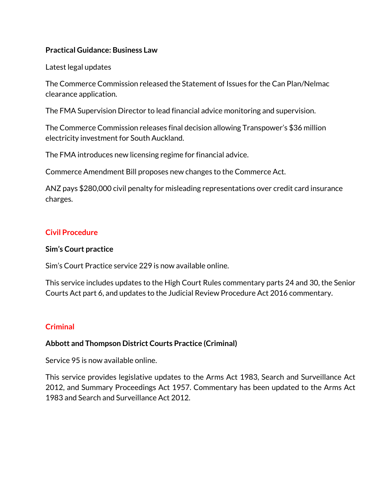### **Practical Guidance: Business Law**

#### Latest legal updates

The Commerce Commission released the Statement of Issues for the Can Plan/Nelmac clearance application.

The FMA Supervision Director to lead financial advice monitoring and supervision.

The Commerce Commission releases final decision allowing Transpower's \$36 million electricity investment for South Auckland.

The FMA introduces new licensing regime for financial advice.

Commerce Amendment Bill proposes new changes to the Commerce Act.

ANZ pays \$280,000 civil penalty for misleading representations over credit card insurance charges.

### **Civil Procedure**

#### **Sim's Court practice**

Sim's Court Practice service 229 is now available online.

This service includes updates to the High Court Rules commentary parts 24 and 30, the Senior Courts Act part 6, and updates to the Judicial Review Procedure Act 2016 commentary.

### **Criminal**

### **Abbott and Thompson District Courts Practice (Criminal)**

Service 95 is now available online.

This service provides legislative updates to the Arms Act 1983, Search and Surveillance Act 2012, and Summary Proceedings Act 1957. Commentary has been updated to the Arms Act 1983 and Search and Surveillance Act 2012.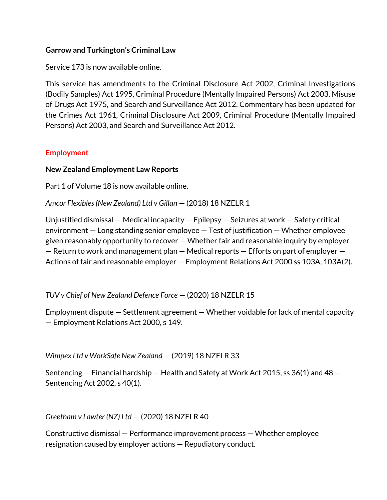## **Garrow and Turkington's Criminal Law**

Service 173 is now available online.

This service has amendments to the Criminal Disclosure Act 2002, Criminal Investigations (Bodily Samples) Act 1995, Criminal Procedure (Mentally Impaired Persons) Act 2003, Misuse of Drugs Act 1975, and Search and Surveillance Act 2012. Commentary has been updated for the Crimes Act 1961, Criminal Disclosure Act 2009, Criminal Procedure (Mentally Impaired Persons) Act 2003, and Search and Surveillance Act 2012.

## **Employment**

### **New Zealand Employment Law Reports**

Part 1 of Volume 18 is now available online.

*Amcor Flexibles (New Zealand) Ltd v Gillan* — (2018) 18 NZELR 1

Unjustified dismissal — Medical incapacity — Epilepsy — Seizures at work — Safety critical environment — Long standing senior employee — Test of justification — Whether employee given reasonably opportunity to recover — Whether fair and reasonable inquiry by employer — Return to work and management plan — Medical reports — Efforts on part of employer — Actions of fair and reasonable employer — Employment Relations Act 2000 ss 103A, 103A(2).

*TUV v Chief of New Zealand Defence Force* — (2020) 18 NZELR 15

Employment dispute — Settlement agreement — Whether voidable for lack of mental capacity — Employment Relations Act 2000, s 149.

*Wimpex Ltd v WorkSafe New Zealand* — (2019) 18 NZELR 33

Sentencing — Financial hardship — Health and Safety at Work Act 2015, ss 36(1) and 48 — Sentencing Act 2002, s 40(1).

*Greetham v Lawter (NZ) Ltd* — (2020) 18 NZELR 40

Constructive dismissal — Performance improvement process — Whether employee resignation caused by employer actions — Repudiatory conduct.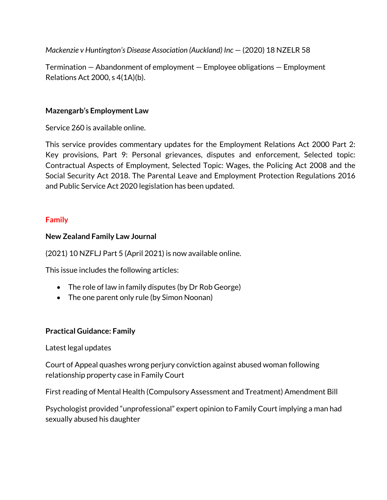*Mackenzie v Huntington's Disease Association (Auckland) Inc* – (2020) 18 NZELR 58

Termination — Abandonment of employment — Employee obligations — Employment Relations Act 2000, s 4(1A)(b).

### **Mazengarb's Employment Law**

Service 260 is available online.

This service provides commentary updates for the Employment Relations Act 2000 Part 2: Key provisions, Part 9: Personal grievances, disputes and enforcement, Selected topic: Contractual Aspects of Employment, Selected Topic: Wages, the Policing Act 2008 and the Social Security Act 2018. The Parental Leave and Employment Protection Regulations 2016 and Public Service Act 2020 legislation has been updated.

## **Family**

### **New Zealand Family Law Journal**

(2021) 10 NZFLJ Part 5 (April 2021) is now available online.

This issue includes the following articles:

- The role of law in family disputes (by Dr Rob George)
- The one parent only rule (by Simon Noonan)

# **Practical Guidance: Family**

Latest legal updates

Court of Appeal quashes wrong perjury conviction against abused woman following relationship property case in Family Court

First reading of Mental Health (Compulsory Assessment and Treatment) Amendment Bill

Psychologist provided "unprofessional" expert opinion to Family Court implying a man had sexually abused his daughter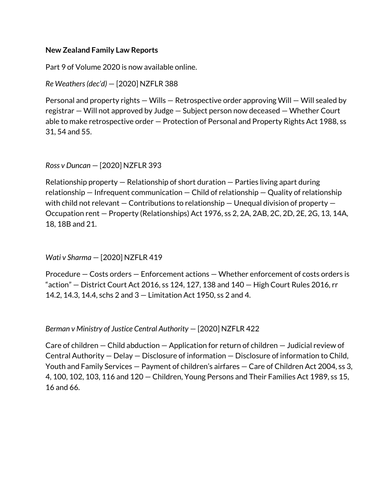#### **New Zealand Family Law Reports**

Part 9 of Volume 2020 is now available online.

*Re Weathers (dec'd)* — [2020] NZFLR 388

Personal and property rights — Wills — Retrospective order approving Will — Will sealed by registrar — Will not approved by Judge — Subject person now deceased — Whether Court able to make retrospective order — Protection of Personal and Property Rights Act 1988, ss 31, 54 and 55.

*Ross v Duncan* — [2020] NZFLR 393

Relationship property — Relationship of short duration — Parties living apart during relationship — Infrequent communication — Child of relationship — Quality of relationship with child not relevant  $-$  Contributions to relationship  $-$  Unequal division of property  $-$ Occupation rent — Property (Relationships) Act 1976, ss 2, 2A, 2AB, 2C, 2D, 2E, 2G, 13, 14A, 18, 18B and 21.

*Wati v Sharma* — [2020] NZFLR 419

Procedure — Costs orders — Enforcement actions — Whether enforcement of costs orders is "action"  $-$  District Court Act 2016, ss 124, 127, 138 and 140  $-$  High Court Rules 2016, rr 14.2, 14.3, 14.4, schs 2 and 3 — Limitation Act 1950, ss 2 and 4.

*Berman v Ministry of Justice Central Authority* — [2020] NZFLR 422

Care of children — Child abduction — Application for return of children — Judicial review of Central Authority — Delay — Disclosure of information — Disclosure of information to Child, Youth and Family Services — Payment of children's airfares — Care of Children Act 2004, ss 3, 4, 100, 102, 103, 116 and 120 — Children, Young Persons and Their Families Act 1989, ss 15, 16 and 66.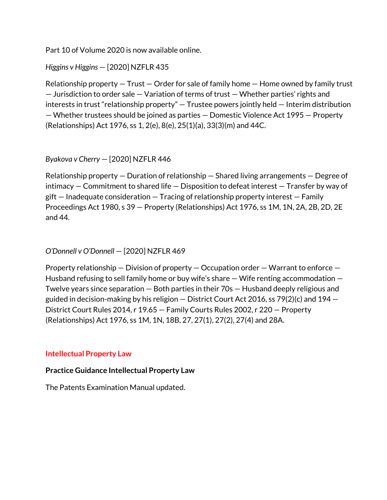Part 10 of Volume 2020 is now available online.

## *Higgins v Higgins* — [2020] NZFLR 435

Relationship property  $-$  Trust  $-$  Order for sale of family home  $-$  Home owned by family trust — Jurisdiction to order sale — Variation of terms of trust — Whether parties' rights and interests in trust "relationship property" — Trustee powers jointly held — Interim distribution — Whether trustees should be joined as parties — Domestic Violence Act 1995 — Property (Relationships) Act 1976, ss 1, 2(e), 8(e), 25(1)(a), 33(3)(m) and 44C.

## *Byakova v Cherry* — [2020] NZFLR 446

Relationship property — Duration of relationship — Shared living arrangements — Degree of intimacy — Commitment to shared life — Disposition to defeat interest — Transfer by way of gift — Inadequate consideration — Tracing of relationship property interest — Family Proceedings Act 1980, s 39 — Property (Relationships) Act 1976, ss 1M, 1N, 2A, 2B, 2D, 2E and 44.

### *O'Donnell v O'Donnell* — [2020] NZFLR 469

Property relationship — Division of property — Occupation order — Warrant to enforce — Husband refusing to sell family home or buy wife's share — Wife renting accommodation — Twelve years since separation — Both parties in their 70s — Husband deeply religious and guided in decision-making by his religion — District Court Act 2016, ss 79(2)(c) and 194 — District Court Rules 2014, r 19.65 — Family Courts Rules 2002, r 220 — Property (Relationships) Act 1976, ss 1M, 1N, 18B, 27, 27(1), 27(2), 27(4) and 28A.

### **Intellectual Property Law**

#### **Practice Guidance Intellectual Property Law**

The Patents Examination Manual updated.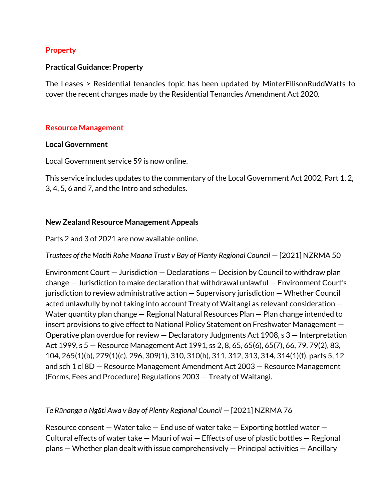#### **Property**

#### **Practical Guidance: Property**

The Leases > Residential tenancies topic has been updated by MinterEllisonRuddWatts to cover the recent changes made by the Residential Tenancies Amendment Act 2020.

#### **Resource Management**

#### **Local Government**

Local Government service 59 is now online.

This service includes updates to the commentary of the Local Government Act 2002, Part 1, 2, 3, 4, 5, 6 and 7, and the Intro and schedules.

#### **New Zealand Resource Management Appeals**

Parts 2 and 3 of 2021 are now available online.

*Trustees of the Motiti Rohe Moana Trust v Bay of Plenty Regional Council – [2021] NZRMA 50* 

Environment Court — Jurisdiction — Declarations — Decision by Council to withdraw plan change — Jurisdiction to make declaration that withdrawal unlawful — Environment Court's jurisdiction to review administrative action — Supervisory jurisdiction — Whether Council acted unlawfully by not taking into account Treaty of Waitangi as relevant consideration — Water quantity plan change — Regional Natural Resources Plan — Plan change intended to insert provisions to give effect to National Policy Statement on Freshwater Management — Operative plan overdue for review — Declaratory Judgments Act 1908, s 3 — Interpretation Act 1999, s 5 — Resource Management Act 1991, ss 2, 8, 65, 65(6), 65(7), 66, 79, 79(2), 83, 104, 265(1)(b), 279(1)(c), 296, 309(1), 310, 310(h), 311, 312, 313, 314, 314(1)(f), parts 5, 12 and sch 1 cl 8D — Resource Management Amendment Act 2003 — Resource Management (Forms, Fees and Procedure) Regulations 2003 — Treaty of Waitangi.

#### *Te Rūnanga o Ngāti Awa v Bay of Plenty Regional Council* — [2021] NZRMA 76

Resource consent  $-$  Water take  $-$  End use of water take  $-$  Exporting bottled water  $-$ Cultural effects of water take — Mauri of wai — Effects of use of plastic bottles — Regional plans — Whether plan dealt with issue comprehensively — Principal activities — Ancillary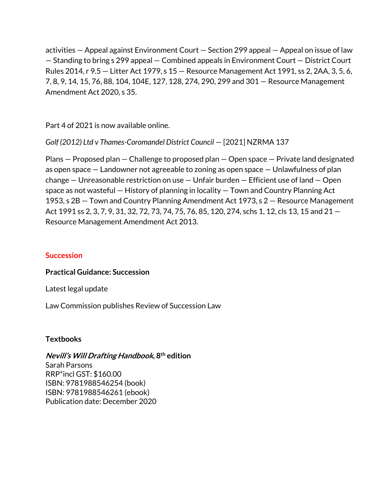activities — Appeal against Environment Court — Section 299 appeal — Appeal on issue of law — Standing to bring s 299 appeal — Combined appeals in Environment Court — District Court Rules 2014, r 9.5 — Litter Act 1979, s 15 — Resource Management Act 1991, ss 2, 2AA, 3, 5, 6, 7, 8, 9, 14, 15, 76, 88, 104, 104E, 127, 128, 274, 290, 299 and 301 — Resource Management Amendment Act 2020, s 35.

Part 4 of 2021 is now available online.

*Golf (2012) Ltd v Thames-Coromandel District Council* — [2021] NZRMA 137

Plans — Proposed plan — Challenge to proposed plan — Open space — Private land designated as open space — Landowner not agreeable to zoning as open space — Unlawfulness of plan change — Unreasonable restriction on use — Unfair burden — Efficient use of land — Open space as not wasteful — History of planning in locality — Town and Country Planning Act 1953, s 2B — Town and Country Planning Amendment Act 1973, s 2 — Resource Management Act 1991 ss 2, 3, 7, 9, 31, 32, 72, 73, 74, 75, 76, 85, 120, 274, schs 1, 12, cls 13, 15 and 21 — Resource Management Amendment Act 2013.

### **Succession**

### **Practical Guidance: Succession**

Latest legal update

Law Commission publishes Review of Succession Law

### **Textbooks**

#### **Nevill's Will Drafting Handbook, 8th edition** Sarah Parsons RRP\*incl GST: \$160.00 ISBN: 9781988546254 (book) ISBN: 9781988546261 (ebook) Publication date: December 2020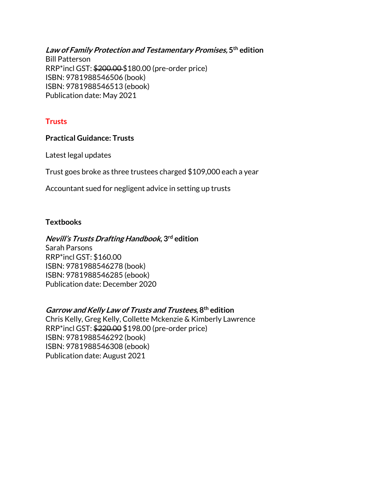**Law of Family Protection and Testamentary Promises, 5th edition** Bill Patterson RRP\*incl GST: \$200.00 \$180.00 (pre-order price) ISBN: 9781988546506 (book) ISBN: 9781988546513 (ebook) Publication date: May 2021

## **Trusts**

#### **Practical Guidance: Trusts**

Latest legal updates

Trust goes broke as three trustees charged \$109,000 each a year

Accountant sued for negligent advice in setting up trusts

#### **Textbooks**

#### **Nevill's Trusts Drafting Handbook, 3rd edition**

Sarah Parsons RRP\*incl GST: \$160.00 ISBN: 9781988546278 (book) ISBN: 9781988546285 (ebook) Publication date: December 2020

### **Garrow and Kelly Law of Trusts and Trustees, 8th edition**

Chris Kelly, Greg Kelly, Collette Mckenzie & Kimberly Lawrence RRP\*incl GST: \$220.00 \$198.00 (pre-order price) ISBN: 9781988546292 (book) ISBN: 9781988546308 (ebook) Publication date: August 2021